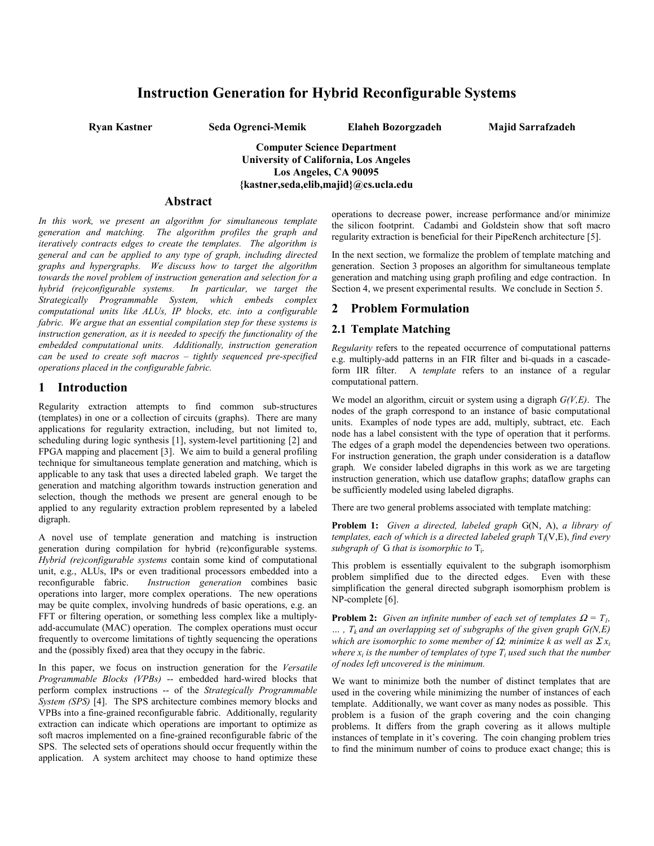# **Instruction Generation for Hybrid Reconfigurable Systems**

**Ryan Kastner Seda Ogrenci-Memik Elaheh Bozorgzadeh Majid Sarrafzadeh**

**Computer Science Department University of California, Los Angeles Los Angeles, CA 90095 {kastner,seda,elib,majid}@cs.ucla.edu**

#### **Abstract**

*In this work, we present an algorithm for simultaneous template generation and matching. The algorithm profiles the graph and iteratively contracts edges to create the templates. The algorithm is general and can be applied to any type of graph, including directed graphs and hypergraphs. We discuss how to target the algorithm towards the novel problem of instruction generation and selection for a hybrid (re)configurable systems. Strategically Programmable System, which embeds complex computational units like ALUs, IP blocks, etc. into a configurable fabric. We argue that an essential compilation step for these systems is instruction generation, as it is needed to specify the functionality of the embedded computational units. Additionally, instruction generation can be used to create soft macros – tightly sequenced pre-specified operations placed in the configurable fabric.*

## **1 Introduction**

Regularity extraction attempts to find common sub-structures (templates) in one or a collection of circuits (graphs). There are many applications for regularity extraction, including, but not limited to, scheduling during logic synthesis [1], system-level partitioning [2] and FPGA mapping and placement [3]. We aim to build a general profiling technique for simultaneous template generation and matching, which is applicable to any task that uses a directed labeled graph. We target the generation and matching algorithm towards instruction generation and selection, though the methods we present are general enough to be applied to any regularity extraction problem represented by a labeled digraph.

A novel use of template generation and matching is instruction generation during compilation for hybrid (re)configurable systems. *Hybrid (re)configurable systems* contain some kind of computational unit, e.g., ALUs, IPs or even traditional processors embedded into a reconfigurable fabric. *Instruction generation* combines basic operations into larger, more complex operations. The new operations may be quite complex, involving hundreds of basic operations, e.g. an FFT or filtering operation, or something less complex like a multiplyadd-accumulate (MAC) operation. The complex operations must occur frequently to overcome limitations of tightly sequencing the operations and the (possibly fixed) area that they occupy in the fabric.

In this paper, we focus on instruction generation for the *Versatile Programmable Blocks (VPBs)* -- embedded hard-wired blocks that perform complex instructions -- of the *Strategically Programmable System (SPS)* [4]. The SPS architecture combines memory blocks and VPBs into a fine-grained reconfigurable fabric. Additionally, regularity extraction can indicate which operations are important to optimize as soft macros implemented on a fine-grained reconfigurable fabric of the SPS. The selected sets of operations should occur frequently within the application. A system architect may choose to hand optimize these

operations to decrease power, increase performance and/or minimize the silicon footprint. Cadambi and Goldstein show that soft macro regularity extraction is beneficial for their PipeRench architecture [5].

In the next section, we formalize the problem of template matching and generation. Section 3 proposes an algorithm for simultaneous template generation and matching using graph profiling and edge contraction. In Section 4, we present experimental results. We conclude in Section 5.

#### **2 Problem Formulation**

#### **2.1 Template Matching**

*Regularity* refers to the repeated occurrence of computational patterns e.g. multiply-add patterns in an FIR filter and bi-quads in a cascadeform IIR filter. A *template* refers to an instance of a regular computational pattern.

We model an algorithm, circuit or system using a digraph *G(V,E)*. The nodes of the graph correspond to an instance of basic computational units. Examples of node types are add, multiply, subtract, etc. Each node has a label consistent with the type of operation that it performs. The edges of a graph model the dependencies between two operations. For instruction generation, the graph under consideration is a dataflow graph*.* We consider labeled digraphs in this work as we are targeting instruction generation, which use dataflow graphs; dataflow graphs can be sufficiently modeled using labeled digraphs.

There are two general problems associated with template matching:

**Problem 1:** *Given a directed, labeled graph* G(N, A), *a library of* templates, each of which is a directed labeled graph  $T_i(V, E)$ , find every subgraph of G that is isomorphic to T<sub>i</sub>.

This problem is essentially equivalent to the subgraph isomorphism problem simplified due to the directed edges. Even with these simplification the general directed subgraph isomorphism problem is NP-complete [6].

**Problem 2:** *Given an infinite number of each set of templates*  $\Omega = T_l$ ,  $\ldots$ ,  $T_k$  and an overlapping set of subgraphs of the given graph  $G(N,E)$ *which are isomorphic to some member of*  $\Omega$ *; minimize k as well as*  $\Sigma x_i$ *where x<sub>i</sub> is the number of templates of type*  $T_i$  *used such that the number of nodes left uncovered is the minimum.*

We want to minimize both the number of distinct templates that are used in the covering while minimizing the number of instances of each template. Additionally, we want cover as many nodes as possible. This problem is a fusion of the graph covering and the coin changing problems. It differs from the graph covering as it allows multiple instances of template in it's covering. The coin changing problem tries to find the minimum number of coins to produce exact change; this is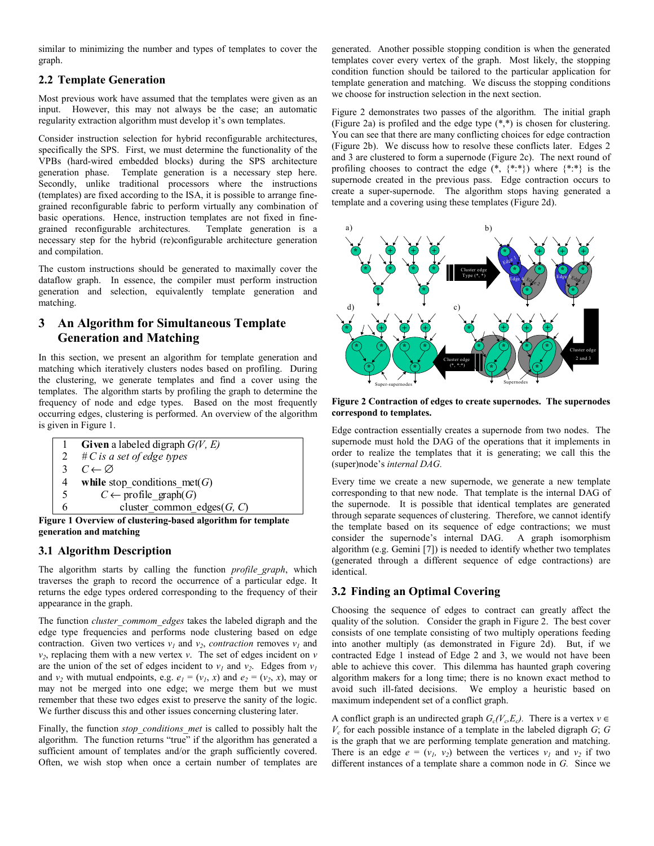similar to minimizing the number and types of templates to cover the graph.

# **2.2 Template Generation**

Most previous work have assumed that the templates were given as an input. However, this may not always be the case; an automatic regularity extraction algorithm must develop it's own templates.

Consider instruction selection for hybrid reconfigurable architectures, specifically the SPS. First, we must determine the functionality of the VPBs (hard-wired embedded blocks) during the SPS architecture generation phase. Template generation is a necessary step here. Secondly, unlike traditional processors where the instructions (templates) are fixed according to the ISA, it is possible to arrange finegrained reconfigurable fabric to perform virtually any combination of basic operations. Hence, instruction templates are not fixed in finegrained reconfigurable architectures. Template generation is a necessary step for the hybrid (re)configurable architecture generation and compilation.

The custom instructions should be generated to maximally cover the dataflow graph. In essence, the compiler must perform instruction generation and selection, equivalently template generation and matching.

# **3 An Algorithm for Simultaneous Template Generation and Matching**

In this section, we present an algorithm for template generation and matching which iteratively clusters nodes based on profiling. During the clustering, we generate templates and find a cover using the templates. The algorithm starts by profiling the graph to determine the frequency of node and edge types. Based on the most frequently occurring edges, clustering is performed. An overview of the algorithm is given in Figure 1.

|                                                                  | <b>Given</b> a labeled digraph $G(V, E)$ |  |  |  |  |  |
|------------------------------------------------------------------|------------------------------------------|--|--|--|--|--|
| 2                                                                | $\#C$ is a set of edge types             |  |  |  |  |  |
|                                                                  | $C \leftarrow \varnothing$               |  |  |  |  |  |
| 4                                                                | while stop conditions met( $G$ )         |  |  |  |  |  |
| 5                                                                | $C \leftarrow$ profile graph(G)          |  |  |  |  |  |
|                                                                  | cluster common edges $(G, C)$            |  |  |  |  |  |
| $\ldots$ 1 Organizar of clustering hosed classition for template |                                          |  |  |  |  |  |

**Figure 1 Overview of clustering-based algorithm for template generation and matching**

#### **3.1 Algorithm Description**

The algorithm starts by calling the function *profile\_graph*, which traverses the graph to record the occurrence of a particular edge. It returns the edge types ordered corresponding to the frequency of their appearance in the graph.

The function *cluster\_commom\_edges* takes the labeled digraph and the edge type frequencies and performs node clustering based on edge contraction. Given two vertices  $v_1$  and  $v_2$ , *contraction* removes  $v_1$  and  $v_2$ , replacing them with a new vertex *v*. The set of edges incident on *v* are the union of the set of edges incident to  $v_1$  and  $v_2$ . Edges from  $v_1$ and  $v_2$  with mutual endpoints, e.g.  $e_1 = (v_1, x)$  and  $e_2 = (v_2, x)$ , may or may not be merged into one edge; we merge them but we must remember that these two edges exist to preserve the sanity of the logic. We further discuss this and other issues concerning clustering later.

Finally, the function *stop\_conditions\_met* is called to possibly halt the algorithm. The function returns "true" if the algorithm has generated a sufficient amount of templates and/or the graph sufficiently covered. Often, we wish stop when once a certain number of templates are generated. Another possible stopping condition is when the generated templates cover every vertex of the graph. Most likely, the stopping condition function should be tailored to the particular application for template generation and matching. We discuss the stopping conditions we choose for instruction selection in the next section.

Figure 2 demonstrates two passes of the algorithm. The initial graph (Figure 2a) is profiled and the edge type (\*,\*) is chosen for clustering. You can see that there are many conflicting choices for edge contraction (Figure 2b). We discuss how to resolve these conflicts later. Edges 2 and 3 are clustered to form a supernode (Figure 2c). The next round of profiling chooses to contract the edge  $(*, \{*,*\})$  where  $\{*,*\}$  is the supernode created in the previous pass. Edge contraction occurs to create a super-supernode. The algorithm stops having generated a template and a covering using these templates (Figure 2d).



**Figure 2 Contraction of edges to create supernodes. The supernodes correspond to templates.**

Edge contraction essentially creates a supernode from two nodes. The supernode must hold the DAG of the operations that it implements in order to realize the templates that it is generating; we call this the (super)node's *internal DAG.*

Every time we create a new supernode, we generate a new template corresponding to that new node. That template is the internal DAG of the supernode. It is possible that identical templates are generated through separate sequences of clustering. Therefore, we cannot identify the template based on its sequence of edge contractions; we must consider the supernode's internal DAG. A graph isomorphism algorithm (e.g. Gemini [7]) is needed to identify whether two templates (generated through a different sequence of edge contractions) are identical.

# **3.2 Finding an Optimal Covering**

Choosing the sequence of edges to contract can greatly affect the quality of the solution. Consider the graph in Figure 2. The best cover consists of one template consisting of two multiply operations feeding into another multiply (as demonstrated in Figure 2d). But, if we contracted Edge 1 instead of Edge 2 and 3, we would not have been able to achieve this cover. This dilemma has haunted graph covering algorithm makers for a long time; there is no known exact method to avoid such ill-fated decisions. We employ a heuristic based on maximum independent set of a conflict graph.

A conflict graph is an undirected graph  $G_c(V_cE_c)$ . There is a vertex  $v \in$  $V_c$  for each possible instance of a template in the labeled digraph  $G$ ;  $G$ is the graph that we are performing template generation and matching. There is an edge  $e = (v_1, v_2)$  between the vertices  $v_1$  and  $v_2$  if two different instances of a template share a common node in *G.* Since we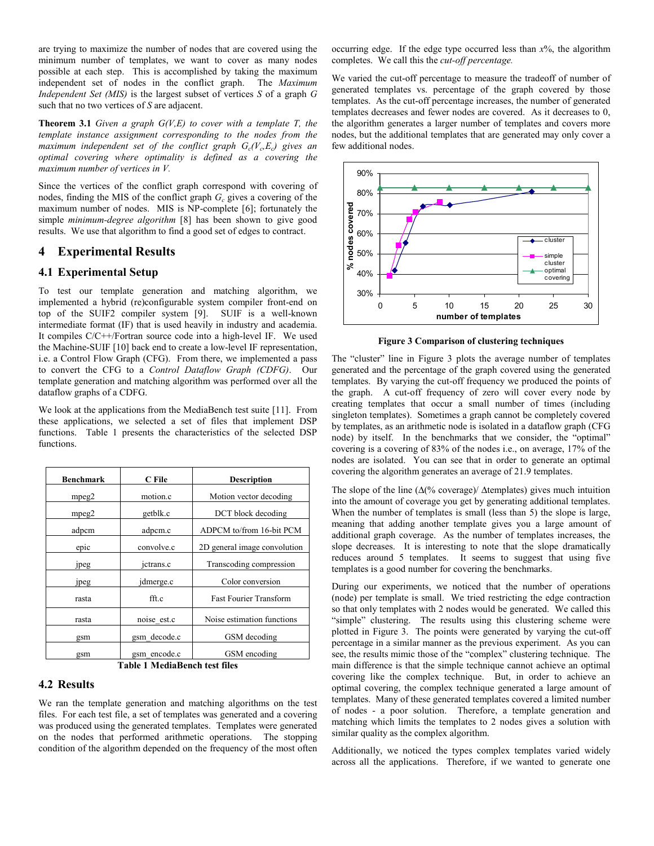are trying to maximize the number of nodes that are covered using the minimum number of templates, we want to cover as many nodes possible at each step. This is accomplished by taking the maximum independent set of nodes in the conflict graph. The *Maximum Independent Set (MIS)* is the largest subset of vertices *S* of a graph *G* such that no two vertices of *S* are adjacent.

**Theorem 3.1** *Given a graph G(V,E) to cover with a template T, the template instance assignment corresponding to the nodes from the maximum independent set of the conflict graph*  $G_c(V_cE_c)$  *gives an optimal covering where optimality is defined as a covering the maximum number of vertices in V.*

Since the vertices of the conflict graph correspond with covering of nodes, finding the MIS of the conflict graph  $G<sub>c</sub>$  gives a covering of the maximum number of nodes. MIS is NP-complete [6]; fortunately the simple *minimum-degree algorithm* [8] has been shown to give good results. We use that algorithm to find a good set of edges to contract.

## **4 Experimental Results**

#### **4.1 Experimental Setup**

To test our template generation and matching algorithm, we implemented a hybrid (re)configurable system compiler front-end on top of the SUIF2 compiler system [9]. SUIF is a well-known intermediate format (IF) that is used heavily in industry and academia. It compiles C/C++/Fortran source code into a high-level IF. We used the Machine-SUIF [10] back end to create a low-level IF representation, i.e. a Control Flow Graph (CFG). From there, we implemented a pass to convert the CFG to a *Control Dataflow Graph (CDFG)*. Our template generation and matching algorithm was performed over all the dataflow graphs of a CDFG.

We look at the applications from the MediaBench test suite [11]. From these applications, we selected a set of files that implement DSP functions. Table 1 presents the characteristics of the selected DSP functions.

| Benchmark | C File       | <b>Description</b>            |  |
|-----------|--------------|-------------------------------|--|
| mpeg2     | motion.c     | Motion vector decoding        |  |
| mpeg2     | getblk.c     | DCT block decoding            |  |
| adpcm     | adpcm.c      | ADPCM to/from 16-bit PCM      |  |
| epic      | convolve.c   | 2D general image convolution  |  |
| jpeg      | jetrans.c    | Transcoding compression       |  |
| jpeg      | jdmerge.c    | Color conversion              |  |
| rasta     | fft.c        | <b>Fast Fourier Transform</b> |  |
| rasta     | noise est.c  | Noise estimation functions    |  |
| gsm       | gsm decode.c | GSM decoding                  |  |
| gsm       | gsm encode.c | GSM encoding                  |  |

**Table 1 MediaBench test files**

#### **4.2 Results**

We ran the template generation and matching algorithms on the test files. For each test file, a set of templates was generated and a covering was produced using the generated templates. Templates were generated on the nodes that performed arithmetic operations. The stopping condition of the algorithm depended on the frequency of the most often occurring edge. If the edge type occurred less than  $x\%$ , the algorithm completes. We call this the *cut-off percentage.*

We varied the cut-off percentage to measure the tradeoff of number of generated templates vs. percentage of the graph covered by those templates. As the cut-off percentage increases, the number of generated templates decreases and fewer nodes are covered. As it decreases to 0, the algorithm generates a larger number of templates and covers more nodes, but the additional templates that are generated may only cover a few additional nodes.



**Figure 3 Comparison of clustering techniques**

The "cluster" line in Figure 3 plots the average number of templates generated and the percentage of the graph covered using the generated templates. By varying the cut-off frequency we produced the points of the graph. A cut-off frequency of zero will cover every node by creating templates that occur a small number of times (including singleton templates). Sometimes a graph cannot be completely covered by templates, as an arithmetic node is isolated in a dataflow graph (CFG node) by itself. In the benchmarks that we consider, the "optimal" covering is a covering of 83% of the nodes i.e., on average, 17% of the nodes are isolated. You can see that in order to generate an optimal covering the algorithm generates an average of 21.9 templates.

The slope of the line ( $\Delta$ (% coverage)/  $\Delta$ templates) gives much intuition into the amount of coverage you get by generating additional templates. When the number of templates is small (less than 5) the slope is large, meaning that adding another template gives you a large amount of additional graph coverage. As the number of templates increases, the slope decreases. It is interesting to note that the slope dramatically reduces around 5 templates. It seems to suggest that using five templates is a good number for covering the benchmarks.

During our experiments, we noticed that the number of operations (node) per template is small. We tried restricting the edge contraction so that only templates with 2 nodes would be generated. We called this "simple" clustering. The results using this clustering scheme were plotted in Figure 3. The points were generated by varying the cut-off percentage in a similar manner as the previous experiment. As you can see, the results mimic those of the "complex" clustering technique. The main difference is that the simple technique cannot achieve an optimal covering like the complex technique. But, in order to achieve an optimal covering, the complex technique generated a large amount of templates. Many of these generated templates covered a limited number of nodes - a poor solution. Therefore, a template generation and matching which limits the templates to 2 nodes gives a solution with similar quality as the complex algorithm.

Additionally, we noticed the types complex templates varied widely across all the applications. Therefore, if we wanted to generate one